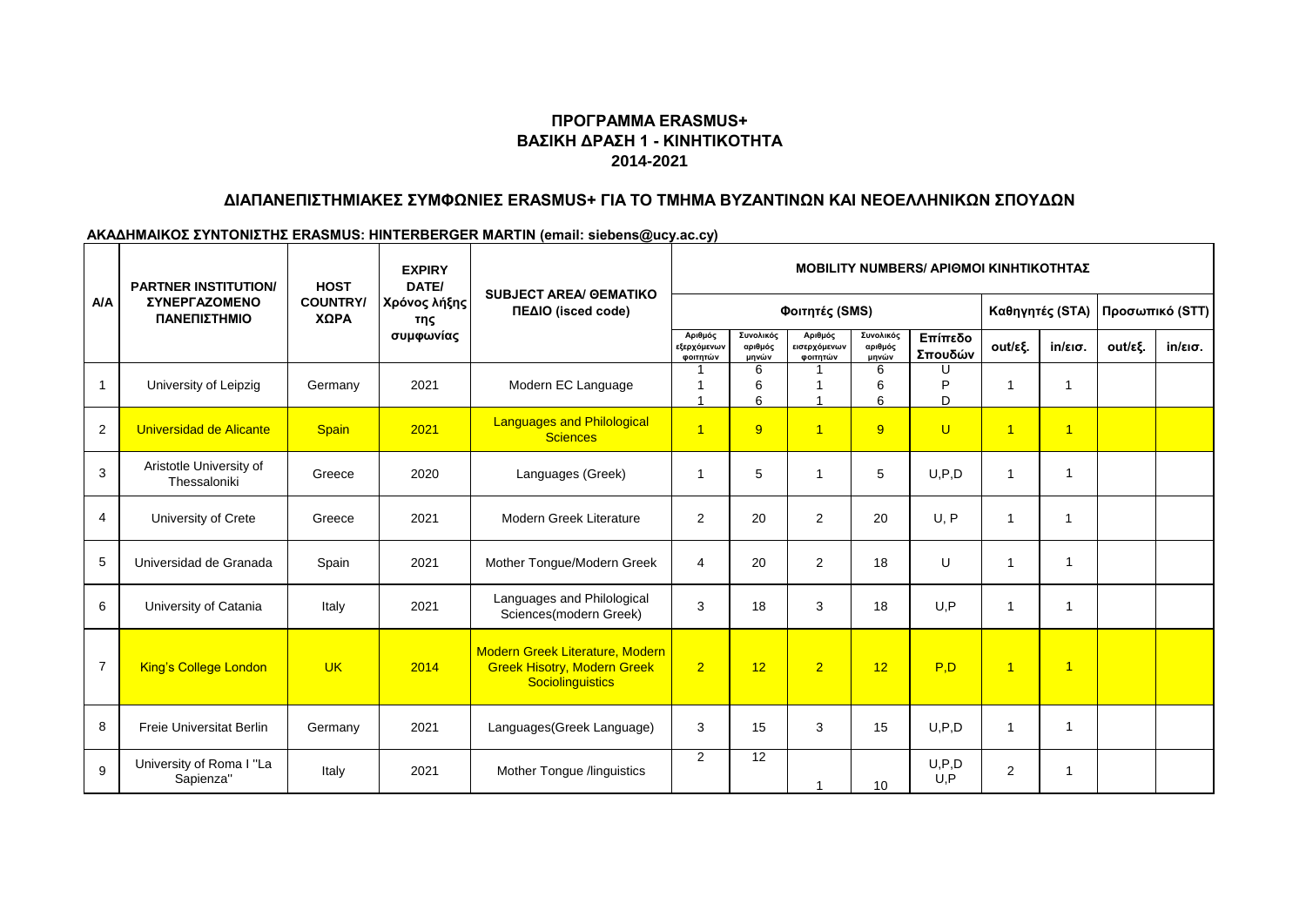# **2014-2021 ΠΡΟΓΡΑΜΜΑ ERASMUS+ ΒΑΣΙΚΗ ΔΡΑΣΗ 1 - ΚΙΝΗΤΙΚΟΤΗΤΑ**

## **ΔΙΑΠΑΝΕΠΙΣΤΗΜΙΑΚΕΣ ΣΥΜΦΩΝΙΕΣ ERASMUS+ ΓΙΑ ΤΟ ΤΜΗΜΑ ΒΥΖΑΝΤΙΝΩΝ ΚΑΙ ΝΕΟΕΛΛΗΝΙΚΩΝ ΣΠΟΥΔΩΝ**

#### **ΑΚΑΔΗΜΑΙΚΟΣ ΣΥΝΤΟΝΙΣΤΗΣ ERASMUS: HINTERBERGER MARTIN (email: siebens@ucy.ac.cy)**

| <b>A/A</b>     | <b>EXPIRY</b><br>DATE/<br><b>PARTNER INSTITUTION/</b><br><b>HOST</b><br><b>SUBJECT AREA/ GEMATIKO</b> |                         | <b>MOBILITY NUMBERS/ ΑΡΙΘΜΟΙ ΚΙΝΗΤΙΚΟΤΗΤΑΣ</b> |                                                                                           |                                    |                               |                                     |                               |                    |                          |                         |                 |                   |
|----------------|-------------------------------------------------------------------------------------------------------|-------------------------|------------------------------------------------|-------------------------------------------------------------------------------------------|------------------------------------|-------------------------------|-------------------------------------|-------------------------------|--------------------|--------------------------|-------------------------|-----------------|-------------------|
|                | <b>ΣΥΝΕΡΓΑΖΟΜΕΝΟ</b><br>ΠΑΝΕΠΙΣΤΗΜΙΟ                                                                  | <b>COUNTRY/</b><br>ΧΩΡΑ | Χρόνος λήξης<br>της<br>συμφωνίας               | ΠΕΔΙΟ (isced code)                                                                        | Φοιτητές (SMS)                     |                               |                                     |                               |                    | Καθηγητές (STA)          |                         | Προσωπικό (STT) |                   |
|                |                                                                                                       |                         |                                                |                                                                                           | Αριθμός<br>εξερχόμενων<br>φοιτητών | Συνολικός<br>αριθμός<br>μηνών | Αριθμός<br>εισερχόμενων<br>φοιτητών | Συνολικός<br>αριθμός<br>μηνών | Επίπεδο<br>Σπουδών | out/εξ.                  | $in/\epsilon$ ισ.       | out/εξ.         | $in/\epsilon$ ισ. |
| $\overline{1}$ | University of Leipzig                                                                                 | Germany                 | 2021                                           | Modern EC Language                                                                        | 1                                  | 6<br>6<br>6                   |                                     | 6<br>6<br>6                   | Þ<br>D             | -1                       | 1                       |                 |                   |
| 2              | Universidad de Alicante                                                                               | Spain                   | 2021                                           | <b>Languages and Philological</b><br><b>Sciences</b>                                      | $\overline{1}$                     | 9                             | $\overline{1}$                      | 9                             | $\cup$             | $\overline{1}$           | $\overline{1}$          |                 |                   |
| 3              | Aristotle University of<br>Thessaloniki                                                               | Greece                  | 2020                                           | Languages (Greek)                                                                         | $\overline{1}$                     | 5                             | $\overline{1}$                      | 5                             | U.P.D              | $\overline{\mathbf{1}}$  | $\overline{\mathbf{1}}$ |                 |                   |
| 4              | University of Crete                                                                                   | Greece                  | 2021                                           | Modern Greek Literature                                                                   | $\overline{2}$                     | 20                            | $\overline{2}$                      | 20                            | U, P               | $\overline{\phantom{a}}$ | $\mathbf 1$             |                 |                   |
| 5              | Universidad de Granada                                                                                | Spain                   | 2021                                           | Mother Tongue/Modern Greek                                                                | 4                                  | 20                            | 2                                   | 18                            | U                  | $\overline{1}$           | $\overline{\mathbf{A}}$ |                 |                   |
| 6              | University of Catania                                                                                 | Italy                   | 2021                                           | Languages and Philological<br>Sciences(modern Greek)                                      | 3                                  | 18                            | 3                                   | 18                            | U.P                | $\overline{1}$           | -1                      |                 |                   |
| $\overline{7}$ | <b>King's College London</b>                                                                          | <b>UK</b>               | 2014                                           | Modern Greek Literature, Modern<br><b>Greek Hisotry, Modern Greek</b><br>Sociolinguistics | $\overline{2}$                     | 12                            | $\overline{2}$                      | 12                            | P.D                | $\overline{1}$           | $\overline{1}$          |                 |                   |
| 8              | <b>Freie Universitat Berlin</b>                                                                       | Germany                 | 2021                                           | Languages(Greek Language)                                                                 | 3                                  | 15                            | 3                                   | 15                            | U, P, D            | $\overline{1}$           | $\mathbf 1$             |                 |                   |
| 9              | University of Roma I "La<br>Sapienza"                                                                 | Italy                   | 2021                                           | Mother Tongue /linguistics                                                                | $\overline{2}$                     | 12                            |                                     | 10                            | U, P, D<br>U, P    | 2                        |                         |                 |                   |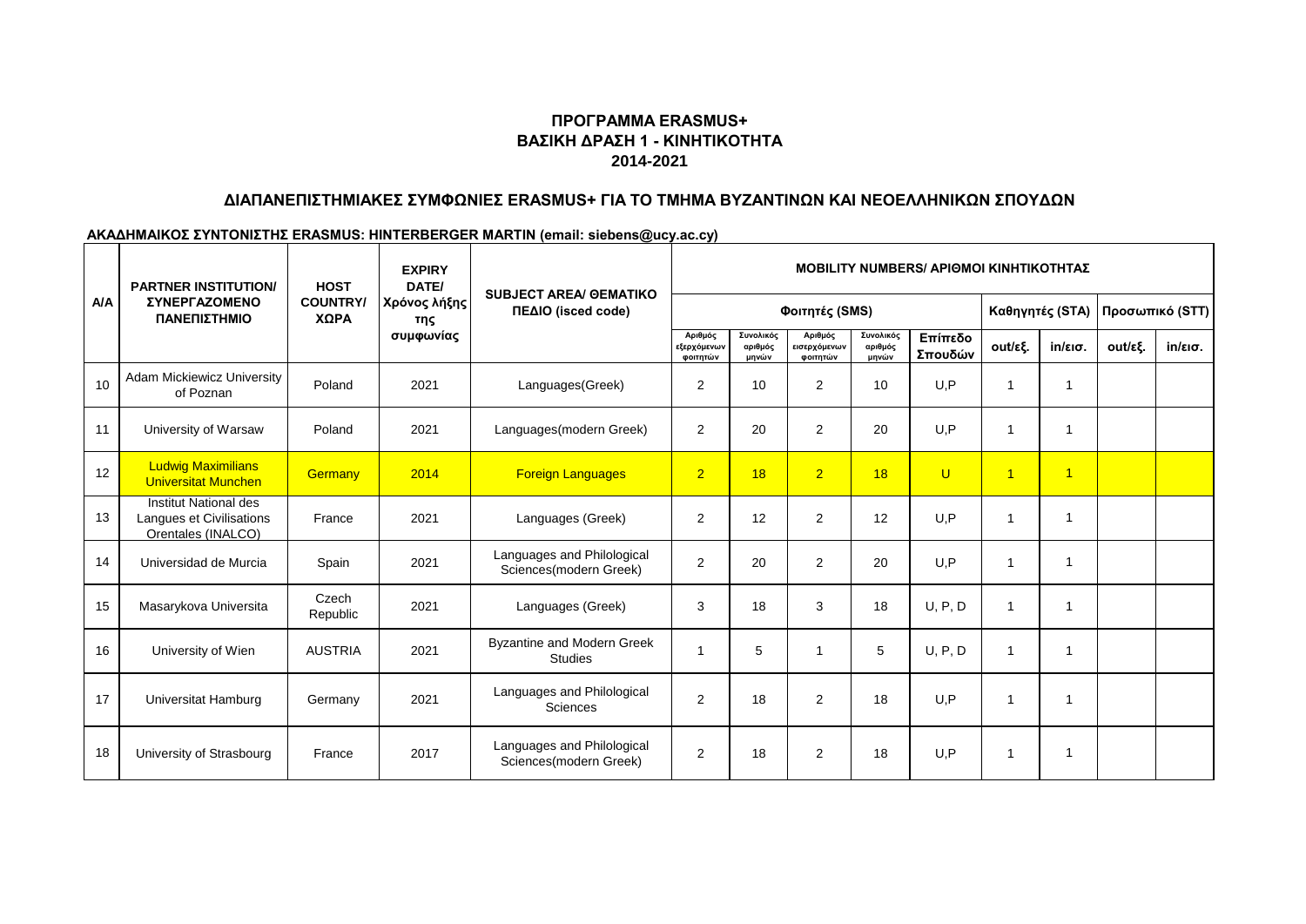# **2014-2021 ΠΡΟΓΡΑΜΜΑ ERASMUS+ ΒΑΣΙΚΗ ΔΡΑΣΗ 1 - ΚΙΝΗΤΙΚΟΤΗΤΑ**

## **ΔΙΑΠΑΝΕΠΙΣΤΗΜΙΑΚΕΣ ΣΥΜΦΩΝΙΕΣ ERASMUS+ ΓΙΑ ΤΟ ΤΜΗΜΑ ΒΥΖΑΝΤΙΝΩΝ ΚΑΙ ΝΕΟΕΛΛΗΝΙΚΩΝ ΣΠΟΥΔΩΝ**

#### **ΑΚΑΔΗΜΑΙΚΟΣ ΣΥΝΤΟΝΙΣΤΗΣ ERASMUS: HINTERBERGER MARTIN (email: siebens@ucy.ac.cy)**

| A/A | <b>PARTNER INSTITUTION/</b>                                             | <b>HOST</b><br><b>COUNTRY/</b><br>ΧΩΡΑ | <b>EXPIRY</b><br>DATE/<br>Χρόνος λήξης<br>της<br>συμφωνίας | <b>SUBJECT AREA/ GEMATIKO</b><br>ΠΕΔΙΟ (isced code)  | <b>MOBILITY NUMBERS/ ΑΡΙΘΜΟΙ ΚΙΝΗΤΙΚΟΤΗΤΑΣ</b> |                               |                                     |                               |                    |                         |                   |                 |            |
|-----|-------------------------------------------------------------------------|----------------------------------------|------------------------------------------------------------|------------------------------------------------------|------------------------------------------------|-------------------------------|-------------------------------------|-------------------------------|--------------------|-------------------------|-------------------|-----------------|------------|
|     | <b><i>ΣΥΝΕΡΓΑΖΟΜΕΝΟ</i></b><br>ΠΑΝΕΠΙΣΤΗΜΙΟ                             |                                        |                                                            |                                                      | Φοιτητές (SMS)                                 |                               |                                     |                               |                    | Καθηγητές (STA)         |                   | Προσωπικό (STT) |            |
|     |                                                                         |                                        |                                                            |                                                      | Αριθμός<br>εξερχόμενων<br>φοιτητών             | Συνολικός<br>αριθμός<br>μηνών | Αριθμός<br>εισερχόμενων<br>φοιτητών | Συνολικός<br>αριθμός<br>μηνών | Επίπεδο<br>Σπουδών | out/εξ.                 | $in/\epsilon$ ισ. | out/εξ.         | $in/ε$ ισ. |
| 10  | <b>Adam Mickiewicz University</b><br>of Poznan                          | Poland                                 | 2021                                                       | Languages(Greek)                                     | $\overline{2}$                                 | 10                            | 2                                   | 10                            | U,P                | 1                       | 1                 |                 |            |
| 11  | University of Warsaw                                                    | Poland                                 | 2021                                                       | Languages(modern Greek)                              | $\mathbf{2}$                                   | 20                            | $\overline{c}$                      | 20                            | U, P               | $\overline{1}$          | 1                 |                 |            |
| 12  | <b>Ludwig Maximilians</b><br><b>Universitat Munchen</b>                 | Germany                                | 2014                                                       | <b>Foreign Languages</b>                             | $\overline{2}$                                 | 18                            | $\overline{2}$                      | 18                            | $\mathbf{U}$       | $\overline{1}$          | $\overline{1}$    |                 |            |
| 13  | Institut National des<br>Langues et Civilisations<br>Orentales (INALCO) | France                                 | 2021                                                       | Languages (Greek)                                    | 2                                              | 12                            | 2                                   | 12                            | U.P                | $\overline{1}$          | 1                 |                 |            |
| 14  | Universidad de Murcia                                                   | Spain                                  | 2021                                                       | Languages and Philological<br>Sciences(modern Greek) | 2                                              | 20                            | $\overline{2}$                      | 20                            | U.P                | -1                      | 1                 |                 |            |
| 15  | Masarykova Universita                                                   | Czech<br>Republic                      | 2021                                                       | Languages (Greek)                                    | 3                                              | 18                            | 3                                   | 18                            | U, P, D            | $\overline{\mathbf{1}}$ | 1                 |                 |            |
| 16  | University of Wien                                                      | <b>AUSTRIA</b>                         | 2021                                                       | <b>Byzantine and Modern Greek</b><br><b>Studies</b>  |                                                | 5                             | 1                                   | 5                             | U, P, D            | $\overline{1}$          | 1                 |                 |            |
| 17  | Universitat Hamburg                                                     | Germany                                | 2021                                                       | Languages and Philological<br><b>Sciences</b>        | 2                                              | 18                            | $\overline{2}$                      | 18                            | U.P                | $\overline{1}$          | 1                 |                 |            |
| 18  | University of Strasbourg                                                | France                                 | 2017                                                       | Languages and Philological<br>Sciences(modern Greek) | $\overline{2}$                                 | 18                            | $\overline{2}$                      | 18                            | U.P                |                         | 1                 |                 |            |